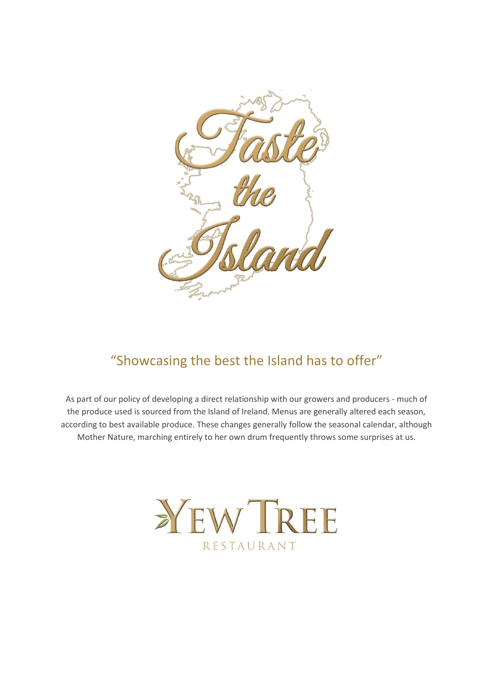

# "Showcasing the best the Island has to offer"

As part of our policy of developing a direct relationship with our growers and producers - much of the produce used is sourced from the Island of Ireland. Menus are generally altered each season, according to best available produce. These changes generally follow the seasonal calendar, although Mother Nature, marching entirely to her own drum frequently throws some surprises at us.

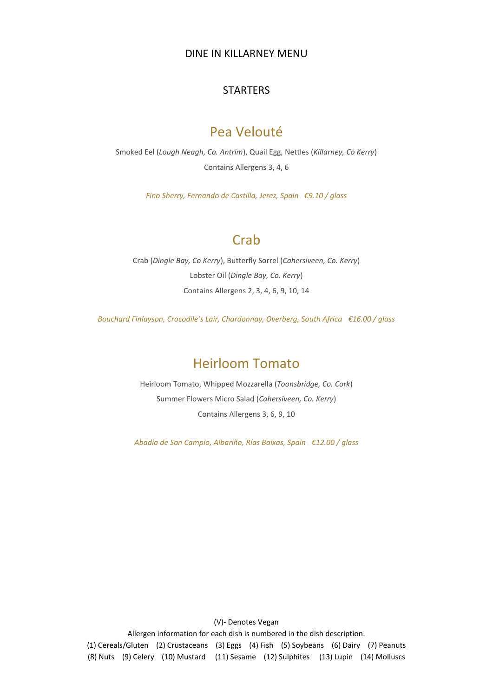#### DINE IN KILLARNEY MENU

#### **STARTERS**

## Pea Velouté

Smoked Eel (*Lough Neagh, Co. Antrim*), Quail Egg, Nettles (*Killarney, Co Kerry*) Contains Allergens 3, 4, 6

*Fino Sherry, Fernando de Castilla, Jerez, Spain €9.10 / glass*

## **Crab**

Crab (*Dingle Bay, Co Kerry*), Butterfly Sorrel (*Cahersiveen, Co. Kerry*) Lobster Oil (*Dingle Bay, Co. Kerry*) Contains Allergens 2, 3, 4, 6, 9, 10, 14

*Bouchard Finlayson, Crocodile's Lair, Chardonnay, Overberg, South Africa €16.00 / glass*

## Heirloom Tomato

Heirloom Tomato, Whipped Mozzarella (*Toonsbridge, Co. Cork*) Summer Flowers Micro Salad (*Cahersiveen, Co. Kerry*) Contains Allergens 3, 6, 9, 10

*Abadia de San Campio, Albariño, Rías Baixas, Spain €12.00 / glass*

(V)- Denotes Vegan

Allergen information for each dish is numbered in the dish description. (1) Cereals/Gluten (2) Crustaceans (3) Eggs (4) Fish (5) Soybeans (6) Dairy (7) Peanuts (8) Nuts (9) Celery (10) Mustard (11) Sesame (12) Sulphites (13) Lupin (14) Molluscs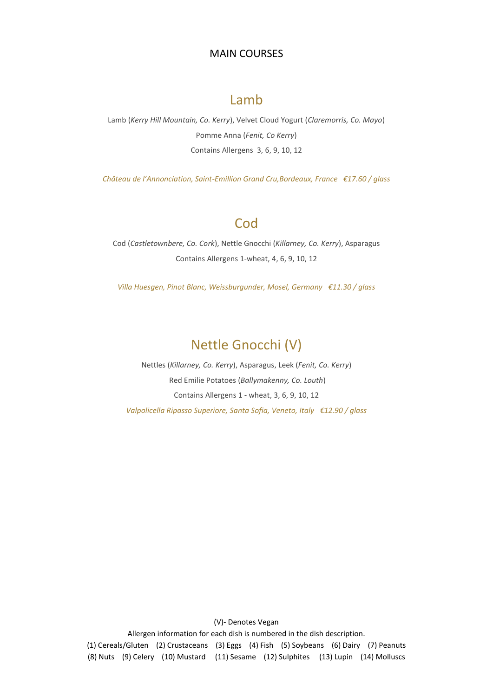#### MAIN COURSES

## **Lamb**

Lamb (*Kerry Hill Mountain, Co. Kerry*), Velvet Cloud Yogurt (*Claremorris, Co. Mayo*) Pomme Anna (*Fenit, Co Kerry*) Contains Allergens 3, 6, 9, 10, 12

*Château de l'Annonciation, Saint-Emillion Grand Cru,Bordeaux, France €17.60 / glass*

## **Cod**

Cod (*Castletownbere, Co. Cork*), Nettle Gnocchi (*Killarney, Co. Kerry*), Asparagus Contains Allergens 1-wheat, 4, 6, 9, 10, 12

*Villa Huesgen, Pinot Blanc, Weissburgunder, Mosel, Germany €11.30 / glass*

# Nettle Gnocchi (V)

Nettles (*Killarney, Co. Kerry*), Asparagus, Leek (*Fenit, Co. Kerry*) Red Emilie Potatoes (*Ballymakenny, Co. Louth*) Contains Allergens 1 - wheat, 3, 6, 9, 10, 12 *Valpolicella Ripasso Superiore, Santa Sofia, Veneto, Italy €12.90 / glass*

(V)- Denotes Vegan Allergen information for each dish is numbered in the dish description. (1) Cereals/Gluten (2) Crustaceans (3) Eggs (4) Fish (5) Soybeans (6) Dairy (7) Peanuts (8) Nuts (9) Celery (10) Mustard (11) Sesame (12) Sulphites (13) Lupin (14) Molluscs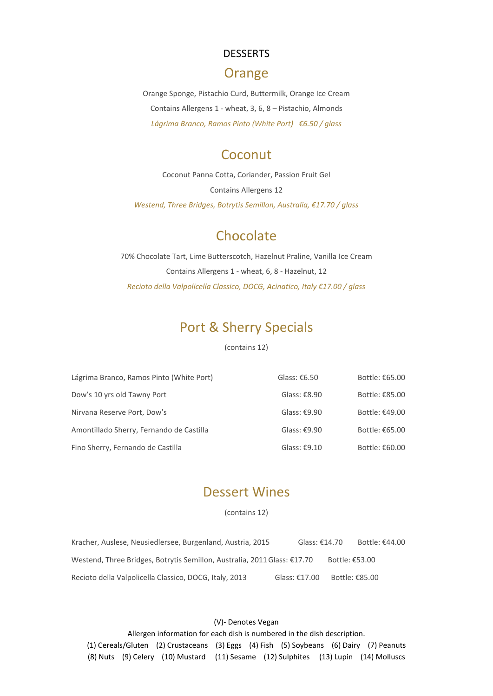### DESSERTS

## Orange

Orange Sponge, Pistachio Curd, Buttermilk, Orange Ice Cream Contains Allergens 1 - wheat, 3, 6, 8 – Pistachio, Almonds *Lágrima Branco, Ramos Pinto (White Port) €6.50 / glass*

## **Coconut**

Coconut Panna Cotta, Coriander, Passion Fruit Gel Contains Allergens 12 *Westend, Three Bridges, Botrytis Semillon, Australia, €17.70 / glass*

# **Chocolate**

70% Chocolate Tart, Lime Butterscotch, Hazelnut Praline, Vanilla Ice Cream Contains Allergens 1 - wheat, 6, 8 - Hazelnut, 12 *Recioto della Valpolicella Classico, DOCG, Acinatico, Italy €17.00 / glass*

# Port & Sherry Specials

#### (contains 12)

| Lágrima Branco, Ramos Pinto (White Port) | Glass: $£6.50$ | Bottle: €65.00 |
|------------------------------------------|----------------|----------------|
| Dow's 10 yrs old Tawny Port              | Glass: $£8.90$ | Bottle: €85.00 |
| Nirvana Reserve Port, Dow's              | Glass: $£9.90$ | Bottle: €49.00 |
| Amontillado Sherry, Fernando de Castilla | Glass: $£9.90$ | Bottle: €65.00 |
| Fino Sherry, Fernando de Castilla        | Glass: $£9.10$ | Bottle: €60.00 |

## Dessert Wines

(contains 12)

| Kracher, Auslese, Neusiedlersee, Burgenland, Austria, 2015               | Glass: $£14.70$ | Bottle: €44.00 |
|--------------------------------------------------------------------------|-----------------|----------------|
| Westend, Three Bridges, Botrytis Semillon, Australia, 2011 Glass: €17.70 |                 | Bottle: €53.00 |
| Recioto della Valpolicella Classico, DOCG, Italy, 2013                   | Glass: $£17.00$ | Bottle: €85.00 |

#### (V)- Denotes Vegan

Allergen information for each dish is numbered in the dish description. (1) Cereals/Gluten (2) Crustaceans (3) Eggs (4) Fish (5) Soybeans (6) Dairy (7) Peanuts (8) Nuts (9) Celery (10) Mustard (11) Sesame (12) Sulphites (13) Lupin (14) Molluscs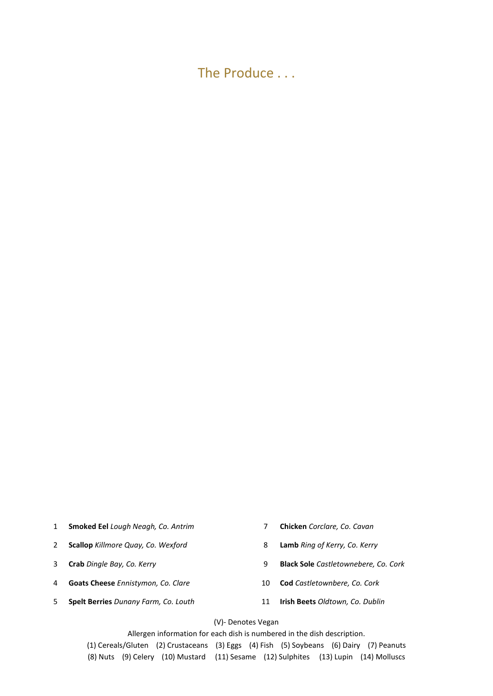The Produce . . .

- 1 **Smoked Eel** *Lough Neagh, Co. Antrim* 7 **Chicken** *Corclare, Co. Cavan*
- 2 **Scallop** *Killmore Quay, Co. Wexford* 8 **Lamb** *Ring of Kerry, Co. Kerry*
- 
- 4 **Goats Cheese** *Ennistymon, Co. Clare* 10 **Cod** *Castletownbere, Co. Cork*
- 5 **Spelt Berries** *Dunany Farm, Co. Louth* 11 **Irish Beets** *Oldtown, Co. Dublin*
- 
- 
- 3 **Crab** *Dingle Bay, Co. Kerry* 9 **Black Sole** *Castletownebere, Co. Cork*
	-
	-

(V)- Denotes Vegan

Allergen information for each dish is numbered in the dish description. (1) Cereals/Gluten (2) Crustaceans (3) Eggs (4) Fish (5) Soybeans (6) Dairy (7) Peanuts (8) Nuts (9) Celery (10) Mustard (11) Sesame (12) Sulphites (13) Lupin (14) Molluscs